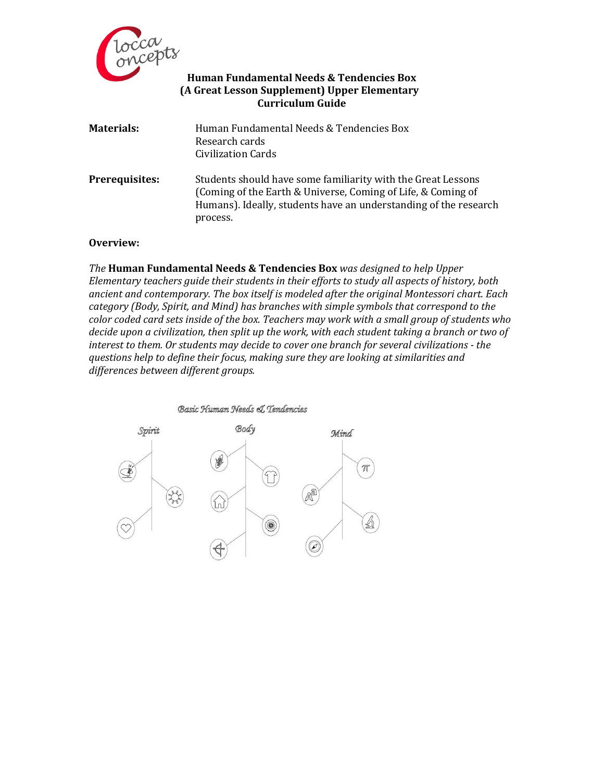

## **Human Fundamental Needs & Tendencies Box (A Great Lesson Supplement) Upper Elementary Curriculum Guide**

| <b>Materials:</b>     | Human Fundamental Needs & Tendencies Box<br>Research cards<br><b>Civilization Cards</b>                                                                                                                      |
|-----------------------|--------------------------------------------------------------------------------------------------------------------------------------------------------------------------------------------------------------|
| <b>Prerequisites:</b> | Students should have some familiarity with the Great Lessons<br>(Coming of the Earth & Universe, Coming of Life, & Coming of<br>Humans). Ideally, students have an understanding of the research<br>process. |

## **Overview:**

*The* **Human Fundamental Needs & Tendencies Box** *was designed to help Upper Elementary teachers guide their students in their efforts to study all aspects of history, both ancient and contemporary. The box itself is modeled after the original Montessori chart. Each category (Body, Spirit, and Mind) has branches with simple symbols that correspond to the color coded card sets inside of the box. Teachers may work with a small group of students who decide upon a civilization, then split up the work, with each student taking a branch or two of interest to them. Or students may decide to cover one branch for several civilizations - the questions help to define their focus, making sure they are looking at similarities and differences between different groups.* 

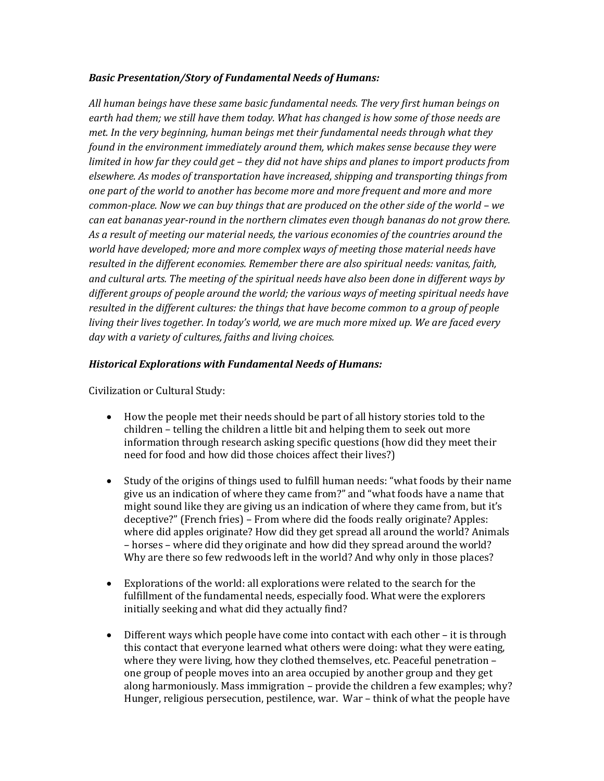## *Basic Presentation/Story of Fundamental Needs of Humans:*

*All human beings have these same basic fundamental needs. The very first human beings on earth had them; we still have them today. What has changed is how some of those needs are met. In the very beginning, human beings met their fundamental needs through what they found in the environment immediately around them, which makes sense because they were limited in how far they could get – they did not have ships and planes to import products from elsewhere. As modes of transportation have increased, shipping and transporting things from one part of the world to another has become more and more frequent and more and more common-place. Now we can buy things that are produced on the other side of the world - we can eat bananas year-round in the northern climates even though bananas do not grow there. As a result of meeting our material needs, the various economies of the countries around the world have developed; more and more complex ways of meeting those material needs have resulted in the different economies. Remember there are also spiritual needs: vanitas, faith, and cultural arts. The meeting of the spiritual needs have also been done in different ways by different groups of people around the world; the various ways of meeting spiritual needs have resulted in the different cultures: the things that have become common to a group of people living their lives together. In today's world, we are much more mixed up. We are faced every day with a variety of cultures, faiths and living choices.* 

## *Historical Explorations with Fundamental Needs of Humans:*

Civilization or Cultural Study:

- How the people met their needs should be part of all history stories told to the children – telling the children a little bit and helping them to seek out more information through research asking specific questions (how did they meet their need for food and how did those choices affect their lives?)
- Study of the origins of things used to fulfill human needs: "what foods by their name give us an indication of where they came from?" and "what foods have a name that might sound like they are giving us an indication of where they came from, but it's deceptive?" (French fries) – From where did the foods really originate? Apples: where did apples originate? How did they get spread all around the world? Animals – horses – where did they originate and how did they spread around the world? Why are there so few redwoods left in the world? And why only in those places?
- Explorations of the world: all explorations were related to the search for the fulfillment of the fundamental needs, especially food. What were the explorers initially seeking and what did they actually find?
- Different ways which people have come into contact with each other it is through this contact that everyone learned what others were doing: what they were eating, where they were living, how they clothed themselves, etc. Peaceful penetration – one group of people moves into an area occupied by another group and they get along harmoniously. Mass immigration – provide the children a few examples; why? Hunger, religious persecution, pestilence, war. War – think of what the people have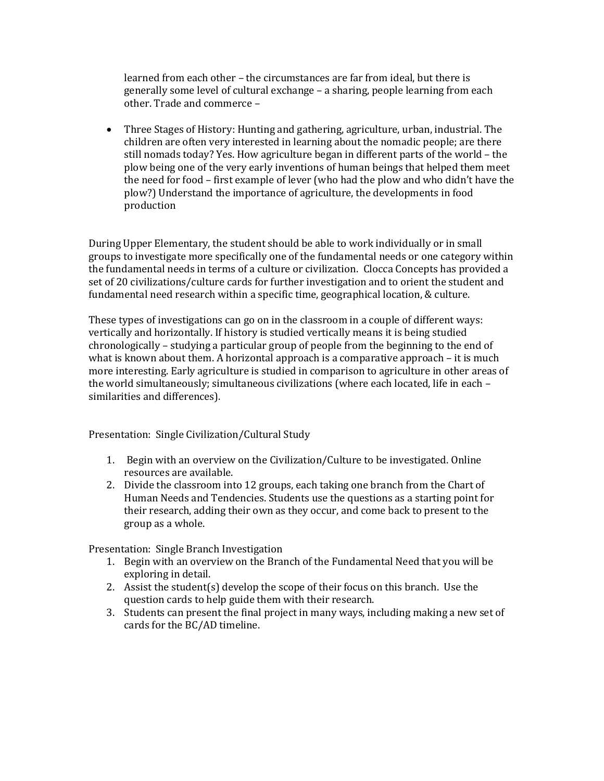learned from each other – the circumstances are far from ideal, but there is generally some level of cultural exchange – a sharing, people learning from each other. Trade and commerce –

 Three Stages of History: Hunting and gathering, agriculture, urban, industrial. The children are often very interested in learning about the nomadic people; are there still nomads today? Yes. How agriculture began in different parts of the world – the plow being one of the very early inventions of human beings that helped them meet the need for food – first example of lever (who had the plow and who didn't have the plow?) Understand the importance of agriculture, the developments in food production

During Upper Elementary, the student should be able to work individually or in small groups to investigate more specifically one of the fundamental needs or one category within the fundamental needs in terms of a culture or civilization. Clocca Concepts has provided a set of 20 civilizations/culture cards for further investigation and to orient the student and fundamental need research within a specific time, geographical location, & culture.

These types of investigations can go on in the classroom in a couple of different ways: vertically and horizontally. If history is studied vertically means it is being studied chronologically – studying a particular group of people from the beginning to the end of what is known about them. A horizontal approach is a comparative approach – it is much more interesting. Early agriculture is studied in comparison to agriculture in other areas of the world simultaneously; simultaneous civilizations (where each located, life in each – similarities and differences).

Presentation: Single Civilization/Cultural Study

- 1. Begin with an overview on the Civilization/Culture to be investigated. Online resources are available.
- 2. Divide the classroom into 12 groups, each taking one branch from the Chart of Human Needs and Tendencies. Students use the questions as a starting point for their research, adding their own as they occur, and come back to present to the group as a whole.

Presentation: Single Branch Investigation

- 1. Begin with an overview on the Branch of the Fundamental Need that you will be exploring in detail.
- 2. Assist the student(s) develop the scope of their focus on this branch. Use the question cards to help guide them with their research.
- 3. Students can present the final project in many ways, including making a new set of cards for the BC/AD timeline.